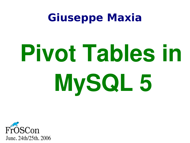#### **Giuseppe Maxia**

# **Pivot Tables in MySQL 5**

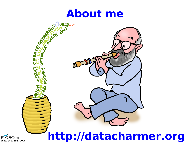



#### **http://datacharmer.org**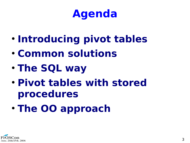#### **Agenda**

- **Introducing pivot tables**
- **Common solutions**
- **The SQL way**
- **Pivot tables with stored procedures**
- **The OO approach**

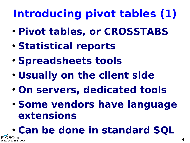### **Introducing pivot tables (1)**

- **Pivot tables, or CROSSTABS**
- **Statistical reports**
- **Spreadsheets tools**
- **Usually on the client side**
- **On servers, dedicated tools**
- **Some vendors have language extensions**

● **Can be done in standard SQL** /25th. 2006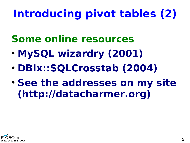#### **Introducing pivot tables (2)**

- **Some online resources**
- **MySQL wizardry (2001)**
- **DBIx::SQLCrosstab (2004)**
- **See the addresses on my site (http://datacharmer.org)**

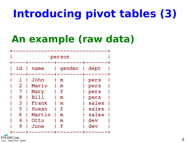#### **Introducing pivot tables (3)**

#### **An example (raw data)**



FrOSCon June. 24th/25th. 2006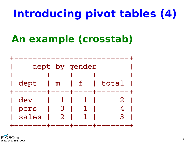#### **Introducing pivot tables (4)**

#### **An example (crosstab)**



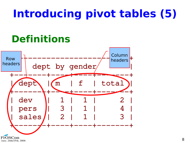#### **Introducing pivot tables (5)**

#### **Definitions**

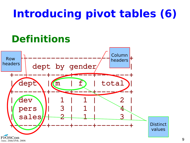#### **Introducing pivot tables (6)**

#### **Definitions**

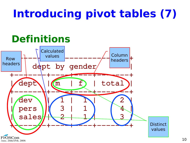#### **Introducing pivot tables (7)**

#### **Definitions**

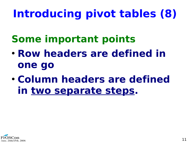#### **Introducing pivot tables (8)**

- **Some important points**
- **Row headers are defined in one go**
- **Column headers are defined in two separate steps.**

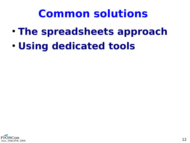#### **Common solutions**

- **The spreadsheets approach**
- **Using dedicated tools**

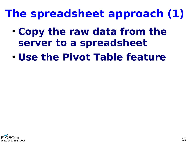#### **The spreadsheet approach (1)**

- **Copy the raw data from the server to a spreadsheet**
- **Use the Pivot Table feature**

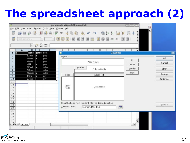#### **The spreadsheet approach (2)**

| 昌<br>person.ods - OpenOffice.org Calc<br><b>Francisco</b> (Francisco                                                                                                                                                                                                                                                                                                                                                                        |                                                            |                                                           |                                   |                     |  |  |
|---------------------------------------------------------------------------------------------------------------------------------------------------------------------------------------------------------------------------------------------------------------------------------------------------------------------------------------------------------------------------------------------------------------------------------------------|------------------------------------------------------------|-----------------------------------------------------------|-----------------------------------|---------------------|--|--|
| Eile                                                                                                                                                                                                                                                                                                                                                                                                                                        | $\alpha$<br>Edit View Insert Format Tools Data Window Help |                                                           |                                   |                     |  |  |
| ABC                                                                                                                                                                                                                                                                                                                                                                                                                                         |                                                            | ※ より動 み の つ 自まる コンスナ                                      | $\blacktriangle$<br>$\frac{8}{1}$ |                     |  |  |
| B<br>Nimbus Sans L<br>$\overline{\phantom{a}}$                                                                                                                                                                                                                                                                                                                                                                                              | $\boxed{U}$<br>图<br>罩<br>潭<br>$\mathcal{U}$                | 图 123 00 0 回<br>目民                                        | 35<br>運<br>÷,                     |                     |  |  |
| $m \Sigma = 1$<br>$\tau$                                                                                                                                                                                                                                                                                                                                                                                                                    |                                                            |                                                           |                                   |                     |  |  |
| $\,$ A<br>Ð<br>$\mathbf{B}$                                                                                                                                                                                                                                                                                                                                                                                                                 | E<br>F                                                     | G<br>H                                                    | z                                 |                     |  |  |
| <b>IC</b><br>gender dept<br>name<br>1                                                                                                                                                                                                                                                                                                                                                                                                       | a                                                          | <b>DataPilot</b>                                          |                                   | $\mathbf{K}$        |  |  |
| 1 John<br>$\overline{2}$<br>m<br>pers                                                                                                                                                                                                                                                                                                                                                                                                       | Layout                                                     |                                                           |                                   | OK                  |  |  |
| $\overline{\mathbf{3}}$<br>2 Mario<br>m<br>pers<br>4<br>7 Mary<br>pers                                                                                                                                                                                                                                                                                                                                                                      |                                                            |                                                           | id                                |                     |  |  |
| 5<br>8 Bill<br>m<br>pers                                                                                                                                                                                                                                                                                                                                                                                                                    |                                                            | Page Fields                                               | name                              | Cancel              |  |  |
| 3 Frank<br>6<br>sales<br>m                                                                                                                                                                                                                                                                                                                                                                                                                  | gender                                                     |                                                           |                                   |                     |  |  |
| 5 Susan<br>sales<br>$\overline{7}$<br>и                                                                                                                                                                                                                                                                                                                                                                                                     |                                                            | Column Fields                                             | gender                            | Help                |  |  |
| 6 Martin m<br>8<br>sales                                                                                                                                                                                                                                                                                                                                                                                                                    |                                                            |                                                           | dept                              |                     |  |  |
| 4 Otto<br>dev<br>9<br>m                                                                                                                                                                                                                                                                                                                                                                                                                     | dept                                                       | Count - id                                                |                                   | Remoye              |  |  |
| 10<br>9 June<br>dev                                                                                                                                                                                                                                                                                                                                                                                                                         |                                                            |                                                           |                                   | Options             |  |  |
| 11                                                                                                                                                                                                                                                                                                                                                                                                                                          |                                                            |                                                           |                                   |                     |  |  |
| 12                                                                                                                                                                                                                                                                                                                                                                                                                                          | Row                                                        | Data Fields                                               |                                   |                     |  |  |
| 13                                                                                                                                                                                                                                                                                                                                                                                                                                          | Fields                                                     |                                                           |                                   |                     |  |  |
| 14                                                                                                                                                                                                                                                                                                                                                                                                                                          |                                                            |                                                           |                                   |                     |  |  |
| 15<br>16                                                                                                                                                                                                                                                                                                                                                                                                                                    |                                                            |                                                           |                                   |                     |  |  |
| 17                                                                                                                                                                                                                                                                                                                                                                                                                                          |                                                            |                                                           |                                   |                     |  |  |
| 18                                                                                                                                                                                                                                                                                                                                                                                                                                          |                                                            |                                                           |                                   |                     |  |  |
| 19                                                                                                                                                                                                                                                                                                                                                                                                                                          |                                                            | Drag the fields from the right into the desired position. |                                   | More $\overline{z}$ |  |  |
| 20                                                                                                                                                                                                                                                                                                                                                                                                                                          | Selection from                                             | $\overline{\phantom{a}}$<br>\$person. \$A\$1:D10          |                                   |                     |  |  |
| 21                                                                                                                                                                                                                                                                                                                                                                                                                                          |                                                            |                                                           |                                   |                     |  |  |
| 22                                                                                                                                                                                                                                                                                                                                                                                                                                          |                                                            |                                                           |                                   |                     |  |  |
| 23                                                                                                                                                                                                                                                                                                                                                                                                                                          |                                                            |                                                           |                                   |                     |  |  |
| 24                                                                                                                                                                                                                                                                                                                                                                                                                                          |                                                            |                                                           | $\blacktriangle$                  |                     |  |  |
| $\begin{array}{ c c c c }\n\hline\n & 25 & \\ \hline\n\end{array} \begin{array}{ c c c }\n\hline\n\end{array} \begin{array}{ c c c }\n\hline\n\end{array} \begin{array}{ c c c }\n\hline\n\end{array} \begin{array}{ c c c }\n\hline\n\end{array} \begin{array}{ c c c }\n\hline\n\end{array} \begin{array}{ c c c }\n\hline\n\end{array} \begin{array}{ c c c }\n\hline\n\end{array} \begin{array}{ c c c }\n\hline\n\end{array} \$<br>∐∢∣ |                                                            |                                                           | ٠<br>$\left  \cdot \right $       |                     |  |  |

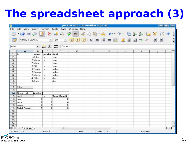#### **The spreadsheet approach (3)**

|                |                                                                                                    |          |                     |                                                         |            | person.ods - OpenOffice.org Calc |        |                                                           |           | $ -$                   |
|----------------|----------------------------------------------------------------------------------------------------|----------|---------------------|---------------------------------------------------------|------------|----------------------------------|--------|-----------------------------------------------------------|-----------|------------------------|
| Eile           |                                                                                                    |          |                     | Edit View Insert Format Tools Data Window Help          |            |                                  |        |                                                           |           |                        |
|                | $\blacksquare \cdot \blacksquare \blacksquare \blacksquare \blacksquare \blacksquare \blacksquare$ |          |                     | $\Rightarrow$                                           | ABC<br>ABC |                                  |        |                                                           |           | $\frac{1}{2}$          |
|                | Nimbus Sans L                                                                                      |          | $\vert \cdot \vert$ | 10<br>$\blacktriangledown$                              |            |                                  |        |                                                           |           | œ                      |
|                |                                                                                                    |          |                     |                                                         |            |                                  |        |                                                           |           |                        |
| A14            |                                                                                                    |          |                     | $\sum$ $f_{\text{col}}$ $\sum$ $\sum$ $\sum$ Count - id |            |                                  |        |                                                           |           |                        |
|                | $\mathbf{A}$                                                                                       | B        | C                   | D                                                       | E          | F                                | G      | $\mathsf{H}% _{\mathsf{H}}^{\mathsf{H}}(\mathcal{M}_{0})$ | T.        |                        |
| ı              | lid                                                                                                | name     | gender dept         |                                                         |            |                                  |        |                                                           |           |                        |
| $\overline{2}$ |                                                                                                    | 1 John   | m                   | pers                                                    |            |                                  |        |                                                           |           |                        |
| 3              |                                                                                                    | 2 Mario  | m                   | pers                                                    |            |                                  |        |                                                           |           |                        |
| $\overline{a}$ |                                                                                                    | 7 Mary   | f                   | pers                                                    |            |                                  |        |                                                           |           |                        |
| 5              |                                                                                                    | 8 Bill   | m                   | pers                                                    |            |                                  |        |                                                           |           |                        |
| 6              |                                                                                                    | 3 Frank  | m                   | sales                                                   |            |                                  |        |                                                           |           |                        |
| $\overline{7}$ |                                                                                                    | 5 Susan  | <b>If</b>           | sales                                                   |            |                                  |        |                                                           |           |                        |
| 8              |                                                                                                    | 6 Martin | m                   | sales                                                   |            |                                  |        |                                                           |           |                        |
| $\mathsf{G}$   |                                                                                                    | 4 Otto   | m                   | dev                                                     |            |                                  |        |                                                           |           |                        |
| 10             |                                                                                                    | 9 June   | f                   | dev                                                     |            |                                  |        |                                                           |           |                        |
| 11             |                                                                                                    |          |                     |                                                         |            |                                  |        |                                                           |           |                        |
| 12             | Filter                                                                                             |          |                     |                                                         |            |                                  |        |                                                           |           |                        |
| 13             |                                                                                                    |          |                     |                                                         |            |                                  |        |                                                           |           |                        |
| 14             | Count - id                                                                                         | gender   |                     |                                                         |            |                                  |        |                                                           |           |                        |
| 15             | dept                                                                                               |          | m                   | <b>Total Result</b>                                     |            |                                  |        |                                                           |           |                        |
| 16             | dev                                                                                                | 1        |                     | 2                                                       |            |                                  |        |                                                           |           |                        |
| 17             | pers                                                                                               | 1        | 3                   | 4                                                       |            |                                  |        |                                                           |           |                        |
| 18             | sales                                                                                              | 1        | 2                   | 3                                                       |            |                                  |        |                                                           |           |                        |
| 19             | <b>Total Result</b>                                                                                |          | 6<br>3              | 9                                                       |            |                                  |        |                                                           |           |                        |
| 20             |                                                                                                    |          |                     |                                                         |            |                                  |        |                                                           |           |                        |
| 21             |                                                                                                    |          |                     |                                                         |            |                                  |        |                                                           |           |                        |
| 22             |                                                                                                    |          |                     |                                                         |            |                                  |        |                                                           |           |                        |
| 23             |                                                                                                    |          |                     |                                                         |            |                                  |        |                                                           |           |                        |
| 24             |                                                                                                    |          |                     |                                                         |            |                                  |        |                                                           |           | ۰<br>⊋                 |
| 25             | H + + H person/                                                                                    |          |                     | $\mathbf{F}$                                            |            | 7777                             |        |                                                           |           | $\left  \cdot \right $ |
|                | Sheet $1/1$                                                                                        |          | Default             |                                                         | 100%       | <b>STD</b>                       | $\ast$ |                                                           | $Sum = 0$ |                        |
|                |                                                                                                    |          |                     |                                                         |            |                                  |        |                                                           |           |                        |

20<sub>n</sub> June. 24th/25th. 2006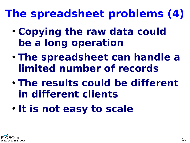#### **The spreadsheet problems (4)**

- **Copying the raw data could be a long operation**
- **The spreadsheet can handle a limited number of records**
- **The results could be different in different clients**
- **It is not easy to scale**

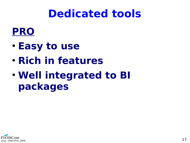#### **Dedicated tools**



- **Easy to use**
- **Rich in features**
- **Well integrated to BI packages**

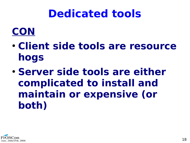#### **Dedicated tools**

#### **CON**

- **Client side tools are resource hogs**
- **Server side tools are either complicated to install and maintain or expensive (or both)**

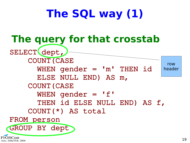#### **The SQL way (1)**

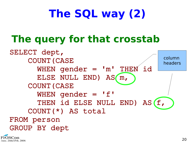#### **The SQL way (2)**

#### **The query for that crosstab**



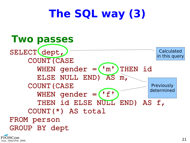#### **The SQL way (3)**



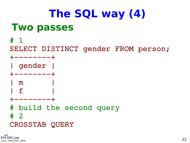#### **The SQL way (4) Two passes**

# 1 SELECT DISTINCT gender FROM person; +--------+ | gender | ---------+ | m |  $\mathbf{f}$ +--------+ # build the second query # 2 CROSSTAB QUERY

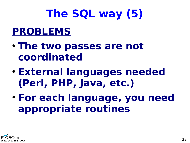### **The SQL way (5)**

#### **PROBLEMS**

- **The two passes are not coordinated**
- **External languages needed (Perl, PHP, Java, etc.)**
- **For each language, you need appropriate routines**

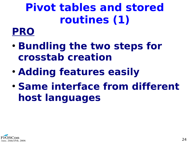#### **Pivot tables and stored routines (1)**

#### **PRO**

- **Bundling the two steps for crosstab creation**
- **Adding features easily**
- **Same interface from different host languages**

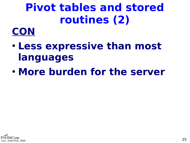#### **Pivot tables and stored routines (2)**

#### **CON**

- **Less expressive than most languages**
- **More burden for the server**

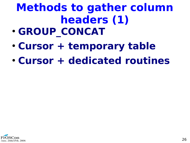### **Methods to gather column headers (1)**

- **GROUP CONCAT**
- **Cursor + temporary table**
- **Cursor + dedicated routines**

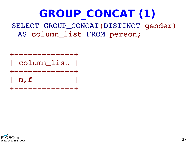#### **GROUP\_CONCAT (1)** SELECT GROUP\_CONCAT(DISTINCT gender)

AS column\_list FROM person;



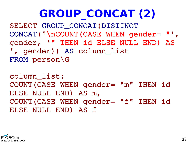#### **GROUP\_CONCAT (2)**

SELECT GROUP CONCAT (DISTINCT CONCAT('\nCOUNT(CASE WHEN gender= "' , gender, '" THEN id ELSE NULL END) AS ' , gender)) AS column\_list FROM person\G

column\_list: COUNT(CASE WHEN gender= "m" THEN id ELSE NULL END) AS m, COUNT(CASE WHEN gender= "f" THEN id ELSE NULL END) AS f

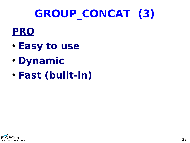#### **GROUP\_CONCAT (3)**

#### **PRO**

- **Easy to use**
- **Dynamic**
- **Fast (built-in)**

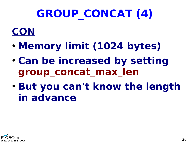#### **GROUP\_CONCAT (4)**

#### **CON**

- **Memory limit (1024 bytes)**
- **Can be increased by setting group\_concat\_max\_len**
- **But you can't know the length in advance**

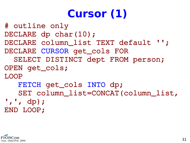#### **Cursor (1)**

# outline only DECLARE dp char(10); DECLARE column list TEXT default ''; DECLARE CURSOR get\_cols FOR SELECT DISTINCT dept FROM person; OPEN get\_cols; LOOP FETCH get\_cols INTO dp; SET column list=CONCAT(column list, ' , ' , dp); END LOOP;

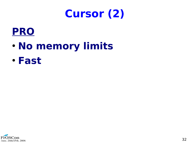#### **Cursor (2)**



- **No memory limits**
- **Fast**

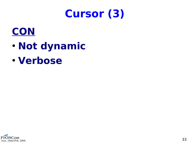#### **Cursor (3)**



- **Not dynamic**
- **Verbose**

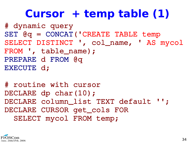#### **Cursor + temp table (1)**

```
# dynamic query
SET @q = CONCAT('CREATE TABLE temp 
SELECT DISTINCT '
, col_name, ' AS mycol 
FROM ', table_name) ;
PREPARE d FROM @q
EXECUTE d;
```
# routine with cursor DECLARE dp char(10); DECLARE column\_list TEXT default ''; DECLARE CURSOR get\_cols FOR SELECT mycol FROM temp;

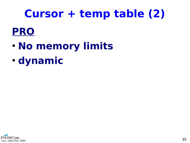#### **Cursor + temp table (2)**

#### **PRO**

- **No memory limits**
- **dynamic**

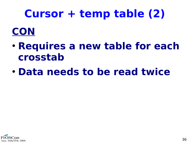#### **Cursor + temp table (2)**

#### **CON**

- **Requires a new table for each crosstab**
- **Data needs to be read twice**

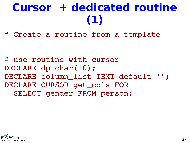#### **Cursor + dedicated routine (1)**

# Create a routine from a template

# use routine with cursor DECLARE dp char(10); DECLARE column list TEXT default ''; DECLARE CURSOR get\_cols FOR SELECT gender FROM person;

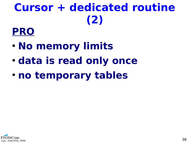#### **Cursor + dedicated routine (2)**

#### **PRO**

- **No memory limits**
- **data is read only once**
- **no temporary tables**

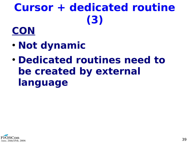### **Cursor + dedicated routine (3)**

#### **CON**

- **Not dynamic**
- **Dedicated routines need to be created by external language**

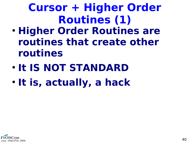#### **Cursor + Higher Order Routines (1)**

- **Higher Order Routines are routines that create other routines**
- **It IS NOT STANDARD**
- **It is, actually, a hack**

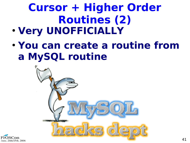### **Cursor + Higher Order Routines (2)**

- **Very UNOFFICIALLY**
- **You can create a routine from a MySQL routine**



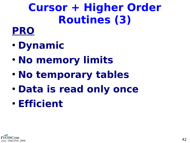#### **Cursor + Higher Order Routines (3)**

#### **PRO**

- **Dynamic**
- **No memory limits**
- **No temporary tables**
- **Data is read only once**
- **Efficient**

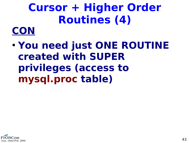#### **Cursor + Higher Order Routines (4) CON**

● **You need just ONE ROUTINE created with SUPER privileges (access to mysql.proc table)**

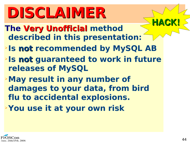## **DISCLAIMER**

- **The Very Unofficial method described in this presentation:**
- ➢ **Is not recommended by MySQL AB**
- ➢ **Is not guaranteed to work in future releases of MySQL**
- ➢**May result in any number of damages to your data, from bird flu to accidental explosions.** ➢ **You use it at your own risk**



**HACK!**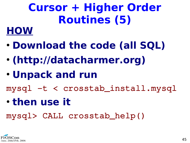### **Cursor + Higher Order Routines (5)**

#### **HOW**

- **Download the code (all SQL)**
- **(http://datacharmer.org)**
- **Unpack and run**

mysql -t < crosstab\_install.mysql

● **then use it**

mysql> CALL crosstab\_help()

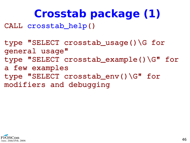#### **Crosstab package (1)**

CALL crosstab\_help()

type "SELECT crosstab\_usage()\G for general usage" type "SELECT crosstab\_example()\G" for a few examples type "SELECT crosstab\_env()\G" for modifiers and debugging

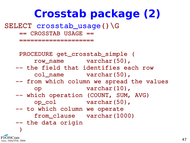#### **Crosstab package (2)**

SELECT crosstab\_usage()\G

== CROSSTAB USAGE ==

====================

 PROCEDURE get\_crosstab\_simple ( row\_name varchar(50), -- the field that identifies each row col\_name varchar(50), -- from which column we spread the values op varchar(10), -- which operation (COUNT, SUM, AVG) op\_col varchar(50), -- to which column we operate from\_clause varchar(1000)  $--$  the data origin  $\overline{\phantom{a}}$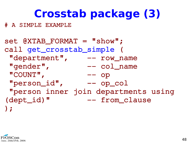#### **Crosstab package (3)**

# A SIMPLE EXAMPLE

set @XTAB FORMAT = "show"; call get\_crosstab\_simple ( "department", -- row\_name "gender", -- col\_name "COUNT", , op "person\_id" , op\_col "person inner join departments using (dept\_id)" -- from\_clause );

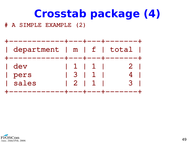#### **Crosstab package (4)**

# A SIMPLE EXAMPLE (2)



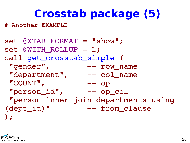#### **Crosstab package (5)**

# Another EXAMPLE

```
set @XTAB FORMAT = "show";
set @WITH_ROLLUP = 1;
call get_crosstab_simple (
 "gender",
                    ,         row_name
 "department",
                   -- col_name
 "COUNT",
                   ,          op
  "person_id"
                ,      op_col
  "person inner join departments using 
(dept_id)" -- from_clause
);
```
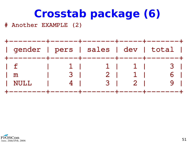#### **Crosstab package (6)**

# Another EXAMPLE (2)



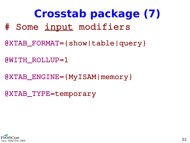**Crosstab package (7)** # Some input modifiers

@XTAB\_FORMAT={show|table|query}

@WITH\_ROLLUP=1

@XTAB\_ENGINE={MyISAM|memory}

@XTAB\_TYPE=temporary

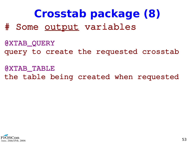**Crosstab package (8)** # Some output variables

@XTAB\_QUERY query to create the requested crosstab

@XTAB\_TABLE the table being created when requested

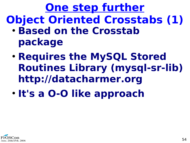**One step further Object Oriented Crosstabs (1)**

- **Based on the Crosstab package**
- **Requires the MySQL Stored Routines Library (mysql-sr-lib) [http://datacharmer.org](http://datacharmer.org/)**
- **It's a O-O like approach**

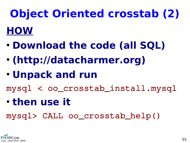**Object Oriented crosstab (2) HOW**

- **Download the code (all SQL)**
- **(http://datacharmer.org)**
- **Unpack and run**

mysql < oo\_crosstab\_install.mysql

● **then use it**

mysql> CALL oo\_crosstab\_help()

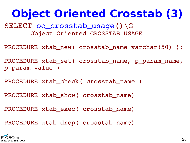#### **Object Oriented Crosstab (3)**

SELECT oo\_crosstab\_usage()\G == Object Oriented CROSSTAB USAGE ==

PROCEDURE xtab\_new( crosstab\_name varchar(50) );

PROCEDURE xtab\_set( crosstab\_name, p\_param\_name, p\_param\_value )

PROCEDURE xtab\_check( crosstab\_name )

PROCEDURE xtab\_show( crosstab\_name)

PROCEDURE xtab\_exec( crosstab\_name)

PROCEDURE xtab\_drop( crosstab\_name)

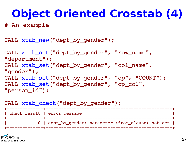#### **Object Oriented Crosstab (4)**

# An example

```
CALL xtab_new("dept_by_gender");
```

```
CALL xtab_set("dept_by_gender"
, "row_name"
, 
"department");
CALL xtab_set("dept_by_gender"
, "col_name"
, 
"gender");
CALL xtab_set("dept_by_gender", "op", "COUNT");
CALL xtab_set("dept_by_gender"
, "op_col"
,  
"person_id");
```

```
CALL xtab_check("dept_by_gender");
```

| check result   error message                                        |  |
|---------------------------------------------------------------------|--|
| 0   dept_by_gender: parameter <from_clause> not set  </from_clause> |  |

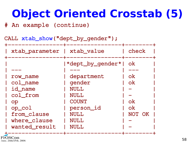#### **Object Oriented Crosstab (5)**

# An example (continue)

CALL xtab\_show("dept\_by\_gender");

| *dept_by_gender* <br><b>ok</b><br>department<br><b>ok</b><br>row_name<br>gender<br>col_name<br><b>ok</b><br>id_name<br><b>NULL</b><br>col_from<br><b>NULL</b><br><b>COUNT</b><br><b>ok</b><br>op<br><b>ok</b> | xtab_parameter | xtab_value | check |
|---------------------------------------------------------------------------------------------------------------------------------------------------------------------------------------------------------------|----------------|------------|-------|
| from_clause<br>NULL<br>NOT OK<br>where_clause<br><b>NULL</b><br>wanted_result<br><b>NULL</b>                                                                                                                  | op_col         | person_id  |       |

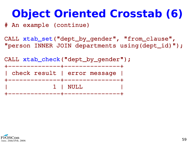#### **Object Oriented Crosstab (6)**

# An example (continue)

CALL xtab\_set("dept\_by\_gender", "from\_clause", "person INNER JOIN departments using(dept\_id)");

CALL xtab\_check("dept\_by\_gender"); --------------+-------------------| check result | error message | -------------+----------------+ | 1 | NULL | --------+---------------+

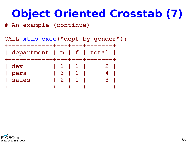#### **Object Oriented Crosstab (7)**

# An example (continue)



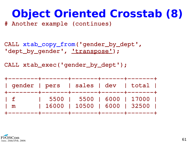#### **Object Oriented Crosstab (8)**

# Another example (continues)

CALL xtab\_copy\_from('gender\_by\_dept', 'dept\_by\_gender', 'transpose');

CALL xtab\_exec('gender\_by\_dept');



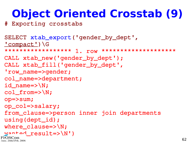#### **Object Oriented Crosstab (9)**

# Exporting crosstabs

```
SELECT xtab_export('gender_by_dept', 
'compact')\G
**************** 1. row *********************
CALL xtab_new('gender_by_dept');
CALL xtab_fill('gender_by_dept', 
 'row_name=>gender;
col_name=>department;
id_name=>\N;
col_from=>\N;
op=>sum;
op_col=>salary;
from_clause=>person inner join departments 
using(dept_id);
where_clause=>\N;
wanted_result=>\N')
June. 24th/25th. 2006
```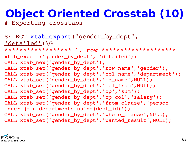#### **Object Oriented Crosstab (10)**

# Exporting crosstabs

SELECT xtab\_export('gender\_by\_dept', 'detailed')\G \*\*\*\*\*\*\*\*\*\*\*\*\*\*\*\*\*\* 1. row \*\*\*\*\*\*\*\*\*\*\*\*\*\*\*\*\*\*\*\* xtab\_export('gender\_by\_dept' , 'detailed'): CALL xtab\_new('gender\_by\_dept'); CALL xtab\_set('gender\_by\_dept','row\_name','gender'); CALL xtab\_set('gender\_by\_dept' , 'col\_name' , 'department'); CALL xtab\_set('gender\_by\_dept','id\_name',NULL); CALL xtab\_set('gender\_by\_dept' , 'col\_from' ,NULL); CALL xtab\_set('gender\_by\_dept' , 'op' , 'sum'); CALL xtab\_set('gender\_by\_dept' , 'op\_col' , 'salary'); CALL xtab\_set('gender\_by\_dept' , 'from\_clause' , 'person inner join departments using(dept\_id)'); CALL xtab\_set('gender\_by\_dept','where\_clause',NULL); CALL xtab\_set('gender\_by\_dept','wanted\_result',NULL);

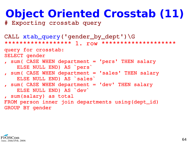#### **Object Oriented Crosstab (11)**

# Exporting crosstab query

```
CALL xtab_query('gender_by_dept')\G
****************** 1. row ********************
query for crosstab:
SELECT gender
, sum( CASE WHEN department = 'pers' THEN salary 
        ELSE NULL END) AS `pers`
, sum( CASE WHEN department = 'sales' THEN salary 
        ELSE NULL END) AS `sales`
, sum( CASE WHEN department = 'dev' THEN salary 
        ELSE NULL END) AS `dev`
, sum(salary) as total
FROM person inner join departments using(dept_id)
GROUP BY gender
```
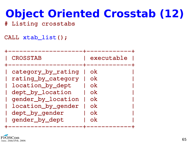#### **Object Oriented Crosstab (12)**

# Listing crosstabs

CALL xtab\_list();

| <b>CROSSTAB</b>                                                                                                                                                  | executable                                                                       |
|------------------------------------------------------------------------------------------------------------------------------------------------------------------|----------------------------------------------------------------------------------|
| category_by_rating<br>rating_by_category<br>location_by_dept<br>dept_by_location<br>gender_by_location<br>location_by_gender<br>dept_by_gender<br>gender_by_dept | 0k<br><u>ok</u><br><u>ok</u><br><b>ok</b><br><u>ok</u><br><u>ok</u><br>0k<br>0k. |

--------------+---------------

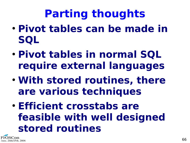#### **Parting thoughts**

- **Pivot tables can be made in SQL**
- **Pivot tables in normal SQL require external languages**
- **With stored routines, there are various techniques**
- **Efficient crosstabs are feasible with well designed stored routines**